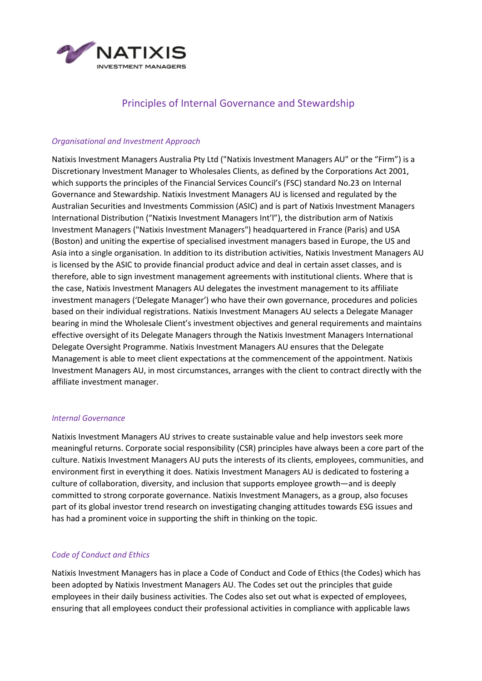

# Principles of Internal Governance and Stewardship

## *Organisational and Investment Approach*

Natixis Investment Managers Australia Pty Ltd ("Natixis Investment Managers AU" or the "Firm") is a Discretionary Investment Manager to Wholesales Clients, as defined by the Corporations Act 2001, which supports the principles of the Financial Services Council's (FSC) standard No.23 on Internal Governance and Stewardship. Natixis Investment Managers AU is licensed and regulated by the Australian Securities and Investments Commission (ASIC) and is part of Natixis Investment Managers International Distribution ("Natixis Investment Managers Int'l"), the distribution arm of Natixis Investment Managers ("Natixis Investment Managers") headquartered in France (Paris) and USA (Boston) and uniting the expertise of specialised investment managers based in Europe, the US and Asia into a single organisation. In addition to its distribution activities, Natixis Investment Managers AU is licensed by the ASIC to provide financial product advice and deal in certain asset classes, and is therefore, able to sign investment management agreements with institutional clients. Where that is the case, Natixis Investment Managers AU delegates the investment management to its affiliate investment managers ('Delegate Manager') who have their own governance, procedures and policies based on their individual registrations. Natixis Investment Managers AU selects a Delegate Manager bearing in mind the Wholesale Client's investment objectives and general requirements and maintains effective oversight of its Delegate Managers through the Natixis Investment Managers International Delegate Oversight Programme. Natixis Investment Managers AU ensures that the Delegate Management is able to meet client expectations at the commencement of the appointment. Natixis Investment Managers AU, in most circumstances, arranges with the client to contract directly with the affiliate investment manager.

#### *Internal Governance*

Natixis Investment Managers AU strives to create sustainable value and help investors seek more meaningful returns. Corporate social responsibility (CSR) principles have always been a core part of the culture. Natixis Investment Managers AU puts the interests of its clients, employees, communities, and environment first in everything it does. Natixis Investment Managers AU is dedicated to fostering a culture of collaboration, diversity, and inclusion that supports employee growth—and is deeply committed to strong corporate governance. Natixis Investment Managers, as a group, also focuses part of its global investor trend research on investigating changing attitudes towards ESG issues and has had a prominent voice in supporting the shift in thinking on the topic.

## *Code of Conduct and Ethics*

Natixis Investment Managers has in place a Code of Conduct and Code of Ethics (the Codes) which has been adopted by Natixis Investment Managers AU. The Codes set out the principles that guide employees in their daily business activities. The Codes also set out what is expected of employees, ensuring that all employees conduct their professional activities in compliance with applicable laws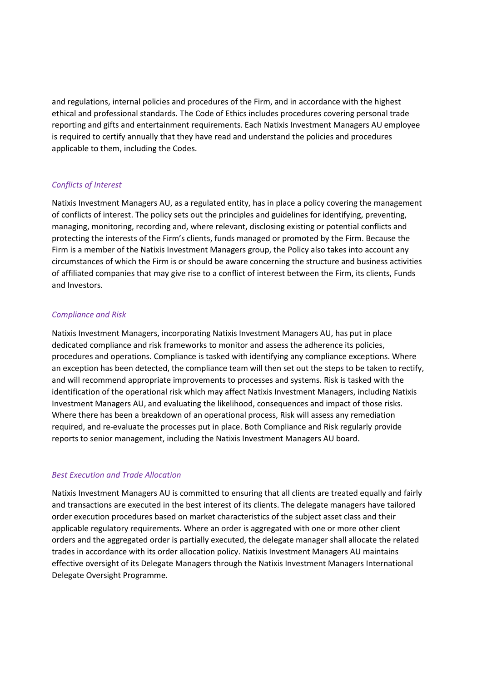and regulations, internal policies and procedures of the Firm, and in accordance with the highest ethical and professional standards. The Code of Ethics includes procedures covering personal trade reporting and gifts and entertainment requirements. Each Natixis Investment Managers AU employee is required to certify annually that they have read and understand the policies and procedures applicable to them, including the Codes.

# *Conflicts of Interest*

Natixis Investment Managers AU, as a regulated entity, has in place a policy covering the management of conflicts of interest. The policy sets out the principles and guidelines for identifying, preventing, managing, monitoring, recording and, where relevant, disclosing existing or potential conflicts and protecting the interests of the Firm's clients, funds managed or promoted by the Firm. Because the Firm is a member of the Natixis Investment Managers group, the Policy also takes into account any circumstances of which the Firm is or should be aware concerning the structure and business activities of affiliated companies that may give rise to a conflict of interest between the Firm, its clients, Funds and Investors.

# *Compliance and Risk*

Natixis Investment Managers, incorporating Natixis Investment Managers AU, has put in place dedicated compliance and risk frameworks to monitor and assess the adherence its policies, procedures and operations. Compliance is tasked with identifying any compliance exceptions. Where an exception has been detected, the compliance team will then set out the steps to be taken to rectify, and will recommend appropriate improvements to processes and systems. Risk is tasked with the identification of the operational risk which may affect Natixis Investment Managers, including Natixis Investment Managers AU, and evaluating the likelihood, consequences and impact of those risks. Where there has been a breakdown of an operational process, Risk will assess any remediation required, and re-evaluate the processes put in place. Both Compliance and Risk regularly provide reports to senior management, including the Natixis Investment Managers AU board.

## *Best Execution and Trade Allocation*

Natixis Investment Managers AU is committed to ensuring that all clients are treated equally and fairly and transactions are executed in the best interest of its clients. The delegate managers have tailored order execution procedures based on market characteristics of the subject asset class and their applicable regulatory requirements. Where an order is aggregated with one or more other client orders and the aggregated order is partially executed, the delegate manager shall allocate the related trades in accordance with its order allocation policy. Natixis Investment Managers AU maintains effective oversight of its Delegate Managers through the Natixis Investment Managers International Delegate Oversight Programme.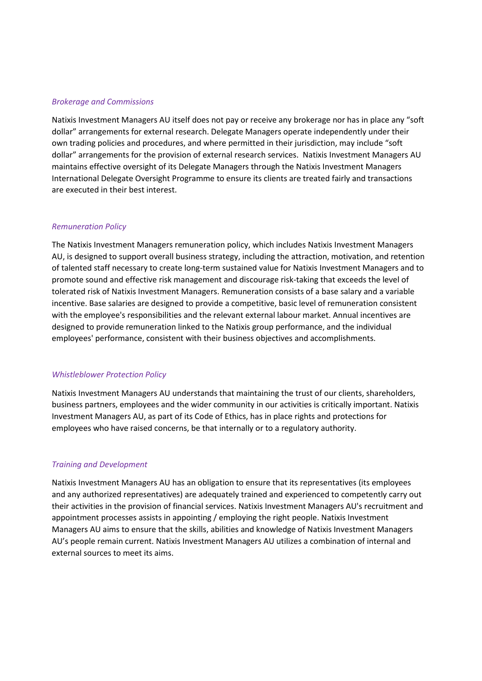#### *Brokerage and Commissions*

Natixis Investment Managers AU itself does not pay or receive any brokerage nor has in place any "soft dollar" arrangements for external research. Delegate Managers operate independently under their own trading policies and procedures, and where permitted in their jurisdiction, may include "soft dollar" arrangements for the provision of external research services. Natixis Investment Managers AU maintains effective oversight of its Delegate Managers through the Natixis Investment Managers International Delegate Oversight Programme to ensure its clients are treated fairly and transactions are executed in their best interest.

#### *Remuneration Policy*

The Natixis Investment Managers remuneration policy, which includes Natixis Investment Managers AU, is designed to support overall business strategy, including the attraction, motivation, and retention of talented staff necessary to create long-term sustained value for Natixis Investment Managers and to promote sound and effective risk management and discourage risk-taking that exceeds the level of tolerated risk of Natixis Investment Managers. Remuneration consists of a base salary and a variable incentive. Base salaries are designed to provide a competitive, basic level of remuneration consistent with the employee's responsibilities and the relevant external labour market. Annual incentives are designed to provide remuneration linked to the Natixis group performance, and the individual employees' performance, consistent with their business objectives and accomplishments.

#### *Whistleblower Protection Policy*

Natixis Investment Managers AU understands that maintaining the trust of our clients, shareholders, business partners, employees and the wider community in our activities is critically important. Natixis Investment Managers AU, as part of its Code of Ethics, has in place rights and protections for employees who have raised concerns, be that internally or to a regulatory authority.

## *Training and Development*

Natixis Investment Managers AU has an obligation to ensure that its representatives (its employees and any authorized representatives) are adequately trained and experienced to competently carry out their activities in the provision of financial services. Natixis Investment Managers AU's recruitment and appointment processes assists in appointing / employing the right people. Natixis Investment Managers AU aims to ensure that the skills, abilities and knowledge of Natixis Investment Managers AU's people remain current. Natixis Investment Managers AU utilizes a combination of internal and external sources to meet its aims.